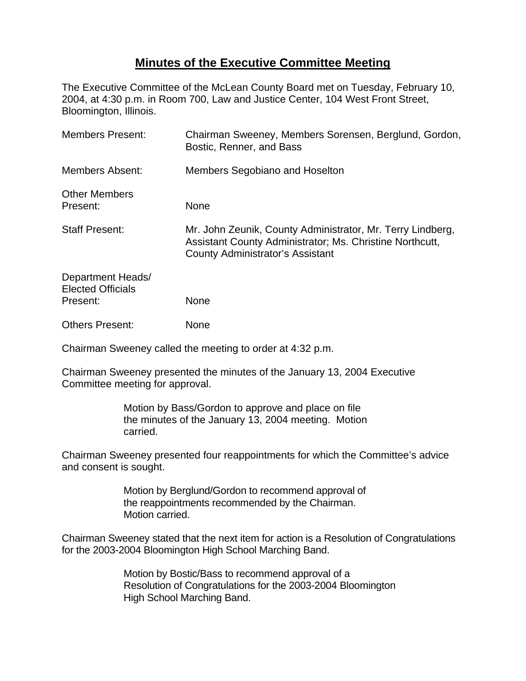## **Minutes of the Executive Committee Meeting**

The Executive Committee of the McLean County Board met on Tuesday, February 10, 2004, at 4:30 p.m. in Room 700, Law and Justice Center, 104 West Front Street, Bloomington, Illinois.

| <b>Members Present:</b>                                   | Chairman Sweeney, Members Sorensen, Berglund, Gordon,<br>Bostic, Renner, and Bass                                                                                 |
|-----------------------------------------------------------|-------------------------------------------------------------------------------------------------------------------------------------------------------------------|
| <b>Members Absent:</b>                                    | Members Segobiano and Hoselton                                                                                                                                    |
| <b>Other Members</b><br>Present:                          | <b>None</b>                                                                                                                                                       |
| <b>Staff Present:</b>                                     | Mr. John Zeunik, County Administrator, Mr. Terry Lindberg,<br>Assistant County Administrator; Ms. Christine Northcutt,<br><b>County Administrator's Assistant</b> |
| Department Heads/<br><b>Elected Officials</b><br>Present: | <b>None</b>                                                                                                                                                       |
| <b>Others Present:</b>                                    | None                                                                                                                                                              |

Chairman Sweeney called the meeting to order at 4:32 p.m.

Chairman Sweeney presented the minutes of the January 13, 2004 Executive Committee meeting for approval.

> Motion by Bass/Gordon to approve and place on file the minutes of the January 13, 2004 meeting. Motion carried.

Chairman Sweeney presented four reappointments for which the Committee's advice and consent is sought.

> Motion by Berglund/Gordon to recommend approval of the reappointments recommended by the Chairman. Motion carried.

Chairman Sweeney stated that the next item for action is a Resolution of Congratulations for the 2003-2004 Bloomington High School Marching Band.

> Motion by Bostic/Bass to recommend approval of a Resolution of Congratulations for the 2003-2004 Bloomington High School Marching Band.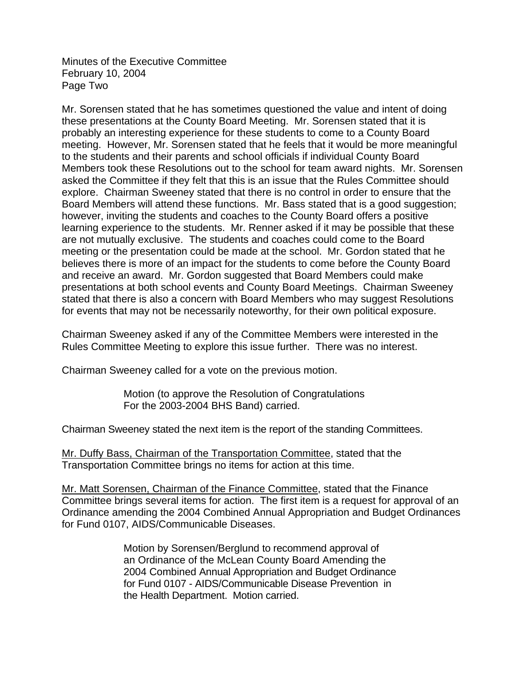Minutes of the Executive Committee February 10, 2004 Page Two

Mr. Sorensen stated that he has sometimes questioned the value and intent of doing these presentations at the County Board Meeting. Mr. Sorensen stated that it is probably an interesting experience for these students to come to a County Board meeting. However, Mr. Sorensen stated that he feels that it would be more meaningful to the students and their parents and school officials if individual County Board Members took these Resolutions out to the school for team award nights. Mr. Sorensen asked the Committee if they felt that this is an issue that the Rules Committee should explore. Chairman Sweeney stated that there is no control in order to ensure that the Board Members will attend these functions. Mr. Bass stated that is a good suggestion; however, inviting the students and coaches to the County Board offers a positive learning experience to the students. Mr. Renner asked if it may be possible that these are not mutually exclusive. The students and coaches could come to the Board meeting or the presentation could be made at the school. Mr. Gordon stated that he believes there is more of an impact for the students to come before the County Board and receive an award. Mr. Gordon suggested that Board Members could make presentations at both school events and County Board Meetings. Chairman Sweeney stated that there is also a concern with Board Members who may suggest Resolutions for events that may not be necessarily noteworthy, for their own political exposure.

Chairman Sweeney asked if any of the Committee Members were interested in the Rules Committee Meeting to explore this issue further. There was no interest.

Chairman Sweeney called for a vote on the previous motion.

Motion (to approve the Resolution of Congratulations For the 2003-2004 BHS Band) carried.

Chairman Sweeney stated the next item is the report of the standing Committees.

Mr. Duffy Bass, Chairman of the Transportation Committee, stated that the Transportation Committee brings no items for action at this time.

Mr. Matt Sorensen, Chairman of the Finance Committee, stated that the Finance Committee brings several items for action. The first item is a request for approval of an Ordinance amending the 2004 Combined Annual Appropriation and Budget Ordinances for Fund 0107, AIDS/Communicable Diseases.

> Motion by Sorensen/Berglund to recommend approval of an Ordinance of the McLean County Board Amending the 2004 Combined Annual Appropriation and Budget Ordinance for Fund 0107 - AIDS/Communicable Disease Prevention in the Health Department. Motion carried.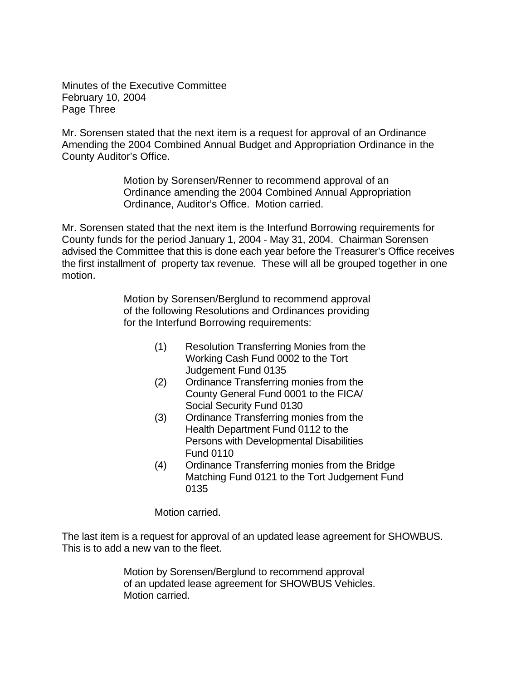Minutes of the Executive Committee February 10, 2004 Page Three

Mr. Sorensen stated that the next item is a request for approval of an Ordinance Amending the 2004 Combined Annual Budget and Appropriation Ordinance in the County Auditor's Office.

> Motion by Sorensen/Renner to recommend approval of an Ordinance amending the 2004 Combined Annual Appropriation Ordinance, Auditor's Office. Motion carried.

Mr. Sorensen stated that the next item is the Interfund Borrowing requirements for County funds for the period January 1, 2004 - May 31, 2004. Chairman Sorensen advised the Committee that this is done each year before the Treasurer's Office receives the first installment of property tax revenue. These will all be grouped together in one motion.

> Motion by Sorensen/Berglund to recommend approval of the following Resolutions and Ordinances providing for the Interfund Borrowing requirements:

- (1) Resolution Transferring Monies from the Working Cash Fund 0002 to the Tort Judgement Fund 0135
- (2) Ordinance Transferring monies from the County General Fund 0001 to the FICA/ Social Security Fund 0130
- (3) Ordinance Transferring monies from the Health Department Fund 0112 to the Persons with Developmental Disabilities Fund 0110
- (4) Ordinance Transferring monies from the Bridge Matching Fund 0121 to the Tort Judgement Fund 0135

Motion carried.

The last item is a request for approval of an updated lease agreement for SHOWBUS. This is to add a new van to the fleet.

> Motion by Sorensen/Berglund to recommend approval of an updated lease agreement for SHOWBUS Vehicles. Motion carried.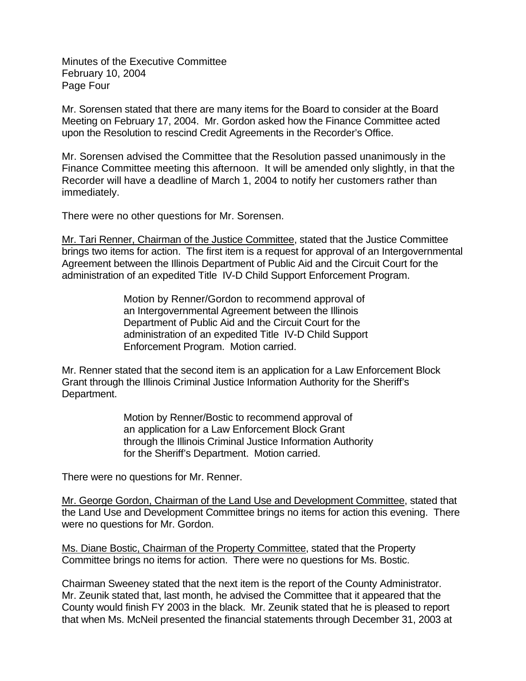Minutes of the Executive Committee February 10, 2004 Page Four

Mr. Sorensen stated that there are many items for the Board to consider at the Board Meeting on February 17, 2004. Mr. Gordon asked how the Finance Committee acted upon the Resolution to rescind Credit Agreements in the Recorder's Office.

Mr. Sorensen advised the Committee that the Resolution passed unanimously in the Finance Committee meeting this afternoon. It will be amended only slightly, in that the Recorder will have a deadline of March 1, 2004 to notify her customers rather than immediately.

There were no other questions for Mr. Sorensen.

Mr. Tari Renner, Chairman of the Justice Committee, stated that the Justice Committee brings two items for action. The first item is a request for approval of an Intergovernmental Agreement between the Illinois Department of Public Aid and the Circuit Court for the administration of an expedited Title IV-D Child Support Enforcement Program.

> Motion by Renner/Gordon to recommend approval of an Intergovernmental Agreement between the Illinois Department of Public Aid and the Circuit Court for the administration of an expedited Title IV-D Child Support Enforcement Program. Motion carried.

Mr. Renner stated that the second item is an application for a Law Enforcement Block Grant through the Illinois Criminal Justice Information Authority for the Sheriff's Department.

> Motion by Renner/Bostic to recommend approval of an application for a Law Enforcement Block Grant through the Illinois Criminal Justice Information Authority for the Sheriff's Department. Motion carried.

There were no questions for Mr. Renner.

Mr. George Gordon, Chairman of the Land Use and Development Committee, stated that the Land Use and Development Committee brings no items for action this evening. There were no questions for Mr. Gordon.

Ms. Diane Bostic, Chairman of the Property Committee, stated that the Property Committee brings no items for action. There were no questions for Ms. Bostic.

Chairman Sweeney stated that the next item is the report of the County Administrator. Mr. Zeunik stated that, last month, he advised the Committee that it appeared that the County would finish FY 2003 in the black. Mr. Zeunik stated that he is pleased to report that when Ms. McNeil presented the financial statements through December 31, 2003 at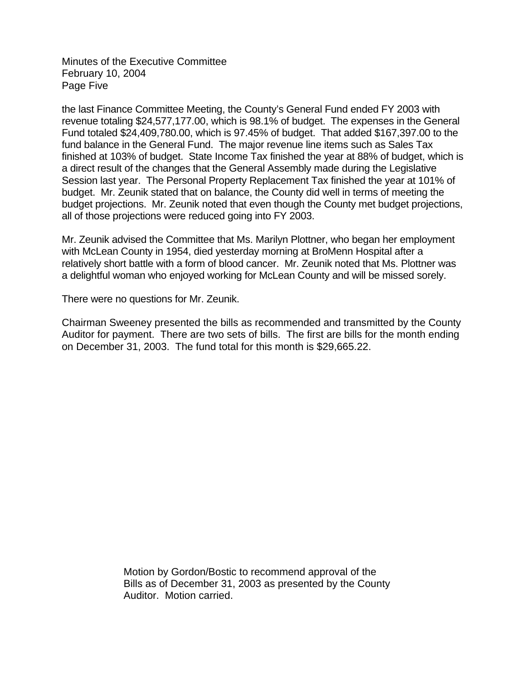Minutes of the Executive Committee February 10, 2004 Page Five

the last Finance Committee Meeting, the County's General Fund ended FY 2003 with revenue totaling \$24,577,177.00, which is 98.1% of budget. The expenses in the General Fund totaled \$24,409,780.00, which is 97.45% of budget. That added \$167,397.00 to the fund balance in the General Fund. The major revenue line items such as Sales Tax finished at 103% of budget. State Income Tax finished the year at 88% of budget, which is a direct result of the changes that the General Assembly made during the Legislative Session last year. The Personal Property Replacement Tax finished the year at 101% of budget. Mr. Zeunik stated that on balance, the County did well in terms of meeting the budget projections. Mr. Zeunik noted that even though the County met budget projections, all of those projections were reduced going into FY 2003.

Mr. Zeunik advised the Committee that Ms. Marilyn Plottner, who began her employment with McLean County in 1954, died yesterday morning at BroMenn Hospital after a relatively short battle with a form of blood cancer. Mr. Zeunik noted that Ms. Plottner was a delightful woman who enjoyed working for McLean County and will be missed sorely.

There were no questions for Mr. Zeunik.

Chairman Sweeney presented the bills as recommended and transmitted by the County Auditor for payment. There are two sets of bills. The first are bills for the month ending on December 31, 2003. The fund total for this month is \$29,665.22.

> Motion by Gordon/Bostic to recommend approval of the Bills as of December 31, 2003 as presented by the County Auditor. Motion carried.